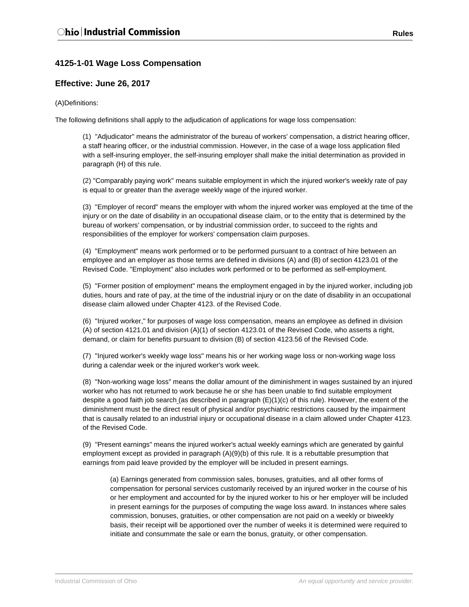# **4125-1-01 Wage Loss Compensation**

## **Effective: June 26, 2017**

### (A)Definitions:

The following definitions shall apply to the adjudication of applications for wage loss compensation:

(1) "Adjudicator" means the administrator of the bureau of workers' compensation, a district hearing officer, a staff hearing officer, or the industrial commission. However, in the case of a wage loss application filed with a self-insuring employer, the self-insuring employer shall make the initial determination as provided in paragraph (H) of this rule.

(2) "Comparably paying work" means suitable employment in which the injured worker's weekly rate of pay is equal to or greater than the average weekly wage of the injured worker.

(3) "Employer of record" means the employer with whom the injured worker was employed at the time of the injury or on the date of disability in an occupational disease claim, or to the entity that is determined by the bureau of workers' compensation, or by industrial commission order, to succeed to the rights and responsibilities of the employer for workers' compensation claim purposes.

(4) "Employment" means work performed or to be performed pursuant to a contract of hire between an employee and an employer as those terms are defined in divisions (A) and (B) of section 4123.01 of the Revised Code. "Employment" also includes work performed or to be performed as self-employment.

(5) "Former position of employment" means the employment engaged in by the injured worker, including job duties, hours and rate of pay, at the time of the industrial injury or on the date of disability in an occupational disease claim allowed under Chapter 4123. of the Revised Code.

(6) "Injured worker," for purposes of wage loss compensation, means an employee as defined in division (A) of section 4121.01 and division (A)(1) of section 4123.01 of the Revised Code, who asserts a right, demand, or claim for benefits pursuant to division (B) of section 4123.56 of the Revised Code.

(7) "Injured worker's weekly wage loss" means his or her working wage loss or non-working wage loss during a calendar week or the injured worker's work week.

(8) "Non-working wage loss" means the dollar amount of the diminishment in wages sustained by an injured worker who has not returned to work because he or she has been unable to find suitable employment despite a good faith job search (as described in paragraph (E)(1)(c) of this rule). However, the extent of the diminishment must be the direct result of physical and/or psychiatric restrictions caused by the impairment that is causally related to an industrial injury or occupational disease in a claim allowed under Chapter 4123. of the Revised Code.

(9) "Present earnings" means the injured worker's actual weekly earnings which are generated by gainful employment except as provided in paragraph (A)(9)(b) of this rule. It is a rebuttable presumption that earnings from paid leave provided by the employer will be included in present earnings.

(a) Earnings generated from commission sales, bonuses, gratuities, and all other forms of compensation for personal services customarily received by an injured worker in the course of his or her employment and accounted for by the injured worker to his or her employer will be included in present earnings for the purposes of computing the wage loss award. In instances where sales commission, bonuses, gratuities, or other compensation are not paid on a weekly or biweekly basis, their receipt will be apportioned over the number of weeks it is determined were required to initiate and consummate the sale or earn the bonus, gratuity, or other compensation.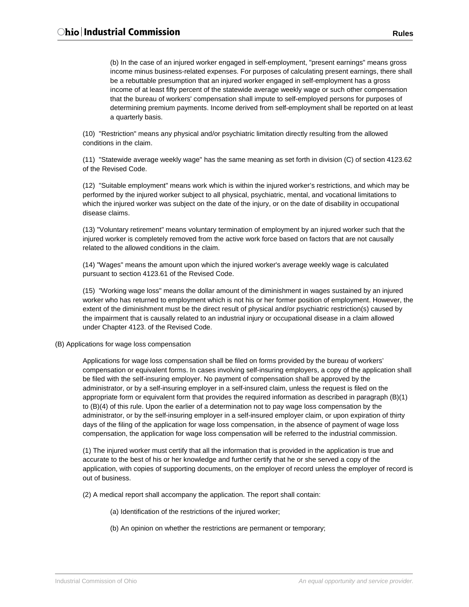(b) In the case of an injured worker engaged in self-employment, "present earnings" means gross income minus business-related expenses. For purposes of calculating present earnings, there shall be a rebuttable presumption that an injured worker engaged in self-employment has a gross income of at least fifty percent of the statewide average weekly wage or such other compensation that the bureau of workers' compensation shall impute to self-employed persons for purposes of determining premium payments. Income derived from self-employment shall be reported on at least a quarterly basis.

(10) "Restriction" means any physical and/or psychiatric limitation directly resulting from the allowed conditions in the claim.

(11) "Statewide average weekly wage" has the same meaning as set forth in division (C) of section 4123.62 of the Revised Code.

(12) "Suitable employment" means work which is within the injured worker's restrictions, and which may be performed by the injured worker subject to all physical, psychiatric, mental, and vocational limitations to which the injured worker was subject on the date of the injury, or on the date of disability in occupational disease claims.

(13) "Voluntary retirement" means voluntary termination of employment by an injured worker such that the injured worker is completely removed from the active work force based on factors that are not causally related to the allowed conditions in the claim.

(14) "Wages" means the amount upon which the injured worker's average weekly wage is calculated pursuant to section 4123.61 of the Revised Code.

(15) "Working wage loss" means the dollar amount of the diminishment in wages sustained by an injured worker who has returned to employment which is not his or her former position of employment. However, the extent of the diminishment must be the direct result of physical and/or psychiatric restriction(s) caused by the impairment that is causally related to an industrial injury or occupational disease in a claim allowed under Chapter 4123. of the Revised Code.

#### (B) Applications for wage loss compensation

Applications for wage loss compensation shall be filed on forms provided by the bureau of workers' compensation or equivalent forms. In cases involving self-insuring employers, a copy of the application shall be filed with the self-insuring employer. No payment of compensation shall be approved by the administrator, or by a self-insuring employer in a self-insured claim, unless the request is filed on the appropriate form or equivalent form that provides the required information as described in paragraph (B)(1) to (B)(4) of this rule. Upon the earlier of a determination not to pay wage loss compensation by the administrator, or by the self-insuring employer in a self-insured employer claim, or upon expiration of thirty days of the filing of the application for wage loss compensation, in the absence of payment of wage loss compensation, the application for wage loss compensation will be referred to the industrial commission.

(1) The injured worker must certify that all the information that is provided in the application is true and accurate to the best of his or her knowledge and further certify that he or she served a copy of the application, with copies of supporting documents, on the employer of record unless the employer of record is out of business.

(2) A medical report shall accompany the application. The report shall contain:

- (a) Identification of the restrictions of the injured worker;
- (b) An opinion on whether the restrictions are permanent or temporary;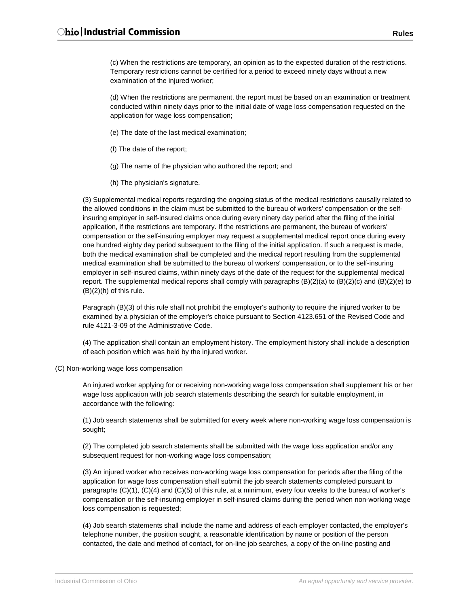(c) When the restrictions are temporary, an opinion as to the expected duration of the restrictions. Temporary restrictions cannot be certified for a period to exceed ninety days without a new examination of the injured worker;

(d) When the restrictions are permanent, the report must be based on an examination or treatment conducted within ninety days prior to the initial date of wage loss compensation requested on the application for wage loss compensation;

- (e) The date of the last medical examination;
- (f) The date of the report;
- (g) The name of the physician who authored the report; and
- (h) The physician's signature.

(3) Supplemental medical reports regarding the ongoing status of the medical restrictions causally related to the allowed conditions in the claim must be submitted to the bureau of workers' compensation or the selfinsuring employer in self-insured claims once during every ninety day period after the filing of the initial application, if the restrictions are temporary. If the restrictions are permanent, the bureau of workers' compensation or the self-insuring employer may request a supplemental medical report once during every one hundred eighty day period subsequent to the filing of the initial application. If such a request is made, both the medical examination shall be completed and the medical report resulting from the supplemental medical examination shall be submitted to the bureau of workers' compensation, or to the self-insuring employer in self-insured claims, within ninety days of the date of the request for the supplemental medical report. The supplemental medical reports shall comply with paragraphs (B)(2)(a) to (B)(2)(c) and (B)(2)(e) to  $(B)(2)(h)$  of this rule.

Paragraph (B)(3) of this rule shall not prohibit the employer's authority to require the injured worker to be examined by a physician of the employer's choice pursuant to Section 4123.651 of the Revised Code and rule 4121-3-09 of the Administrative Code.

(4) The application shall contain an employment history. The employment history shall include a description of each position which was held by the injured worker.

(C) Non-working wage loss compensation

An injured worker applying for or receiving non-working wage loss compensation shall supplement his or her wage loss application with job search statements describing the search for suitable employment, in accordance with the following:

(1) Job search statements shall be submitted for every week where non-working wage loss compensation is sought;

(2) The completed job search statements shall be submitted with the wage loss application and/or any subsequent request for non-working wage loss compensation;

(3) An injured worker who receives non-working wage loss compensation for periods after the filing of the application for wage loss compensation shall submit the job search statements completed pursuant to paragraphs (C)(1), (C)(4) and (C)(5) of this rule, at a minimum, every four weeks to the bureau of worker's compensation or the self-insuring employer in self-insured claims during the period when non-working wage loss compensation is requested;

(4) Job search statements shall include the name and address of each employer contacted, the employer's telephone number, the position sought, a reasonable identification by name or position of the person contacted, the date and method of contact, for on-line job searches, a copy of the on-line posting and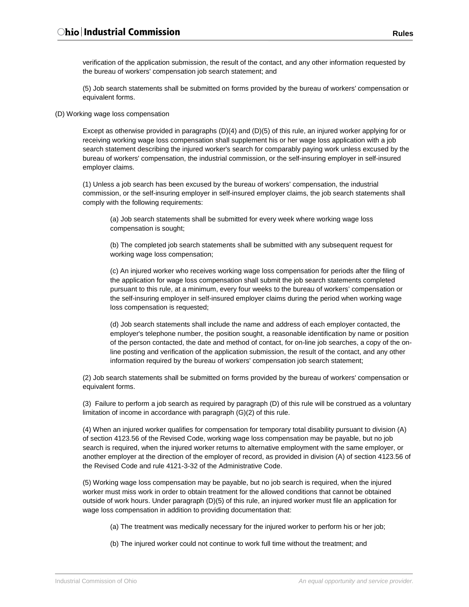verification of the application submission, the result of the contact, and any other information requested by the bureau of workers' compensation job search statement; and

(5) Job search statements shall be submitted on forms provided by the bureau of workers' compensation or equivalent forms.

(D) Working wage loss compensation

Except as otherwise provided in paragraphs (D)(4) and (D)(5) of this rule, an injured worker applying for or receiving working wage loss compensation shall supplement his or her wage loss application with a job search statement describing the injured worker's search for comparably paying work unless excused by the bureau of workers' compensation, the industrial commission, or the self-insuring employer in self-insured employer claims.

(1) Unless a job search has been excused by the bureau of workers' compensation, the industrial commission, or the self-insuring employer in self-insured employer claims, the job search statements shall comply with the following requirements:

(a) Job search statements shall be submitted for every week where working wage loss compensation is sought;

(b) The completed job search statements shall be submitted with any subsequent request for working wage loss compensation;

(c) An injured worker who receives working wage loss compensation for periods after the filing of the application for wage loss compensation shall submit the job search statements completed pursuant to this rule, at a minimum, every four weeks to the bureau of workers' compensation or the self-insuring employer in self-insured employer claims during the period when working wage loss compensation is requested;

(d) Job search statements shall include the name and address of each employer contacted, the employer's telephone number, the position sought, a reasonable identification by name or position of the person contacted, the date and method of contact, for on-line job searches, a copy of the online posting and verification of the application submission, the result of the contact, and any other information required by the bureau of workers' compensation job search statement;

(2) Job search statements shall be submitted on forms provided by the bureau of workers' compensation or equivalent forms.

(3) Failure to perform a job search as required by paragraph (D) of this rule will be construed as a voluntary limitation of income in accordance with paragraph (G)(2) of this rule.

(4) When an injured worker qualifies for compensation for temporary total disability pursuant to division (A) of section 4123.56 of the Revised Code, working wage loss compensation may be payable, but no job search is required, when the injured worker returns to alternative employment with the same employer, or another employer at the direction of the employer of record, as provided in division (A) of section 4123.56 of the Revised Code and rule 4121-3-32 of the Administrative Code.

(5) Working wage loss compensation may be payable, but no job search is required, when the injured worker must miss work in order to obtain treatment for the allowed conditions that cannot be obtained outside of work hours. Under paragraph (D)(5) of this rule, an injured worker must file an application for wage loss compensation in addition to providing documentation that:

(a) The treatment was medically necessary for the injured worker to perform his or her job;

(b) The injured worker could not continue to work full time without the treatment; and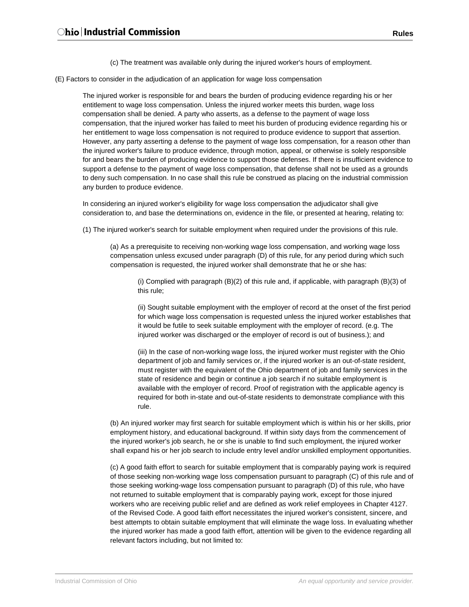(c) The treatment was available only during the injured worker's hours of employment.

(E) Factors to consider in the adjudication of an application for wage loss compensation

The injured worker is responsible for and bears the burden of producing evidence regarding his or her entitlement to wage loss compensation. Unless the injured worker meets this burden, wage loss compensation shall be denied. A party who asserts, as a defense to the payment of wage loss compensation, that the injured worker has failed to meet his burden of producing evidence regarding his or her entitlement to wage loss compensation is not required to produce evidence to support that assertion. However, any party asserting a defense to the payment of wage loss compensation, for a reason other than the injured worker's failure to produce evidence, through motion, appeal, or otherwise is solely responsible for and bears the burden of producing evidence to support those defenses. If there is insufficient evidence to support a defense to the payment of wage loss compensation, that defense shall not be used as a grounds to deny such compensation. In no case shall this rule be construed as placing on the industrial commission any burden to produce evidence.

In considering an injured worker's eligibility for wage loss compensation the adjudicator shall give consideration to, and base the determinations on, evidence in the file, or presented at hearing, relating to:

(1) The injured worker's search for suitable employment when required under the provisions of this rule.

(a) As a prerequisite to receiving non-working wage loss compensation, and working wage loss compensation unless excused under paragraph (D) of this rule, for any period during which such compensation is requested, the injured worker shall demonstrate that he or she has:

(i) Complied with paragraph (B)(2) of this rule and, if applicable, with paragraph (B)(3) of this rule;

(ii) Sought suitable employment with the employer of record at the onset of the first period for which wage loss compensation is requested unless the injured worker establishes that it would be futile to seek suitable employment with the employer of record. (e.g. The injured worker was discharged or the employer of record is out of business.); and

(iii) In the case of non-working wage loss, the injured worker must register with the Ohio department of job and family services or, if the injured worker is an out-of-state resident, must register with the equivalent of the Ohio department of job and family services in the state of residence and begin or continue a job search if no suitable employment is available with the employer of record. Proof of registration with the applicable agency is required for both in-state and out-of-state residents to demonstrate compliance with this rule.

(b) An injured worker may first search for suitable employment which is within his or her skills, prior employment history, and educational background. If within sixty days from the commencement of the injured worker's job search, he or she is unable to find such employment, the injured worker shall expand his or her job search to include entry level and/or unskilled employment opportunities.

(c) A good faith effort to search for suitable employment that is comparably paying work is required of those seeking non-working wage loss compensation pursuant to paragraph (C) of this rule and of those seeking working-wage loss compensation pursuant to paragraph (D) of this rule, who have not returned to suitable employment that is comparably paying work, except for those injured workers who are receiving public relief and are defined as work relief employees in Chapter 4127. of the Revised Code. A good faith effort necessitates the injured worker's consistent, sincere, and best attempts to obtain suitable employment that will eliminate the wage loss. In evaluating whether the injured worker has made a good faith effort, attention will be given to the evidence regarding all relevant factors including, but not limited to: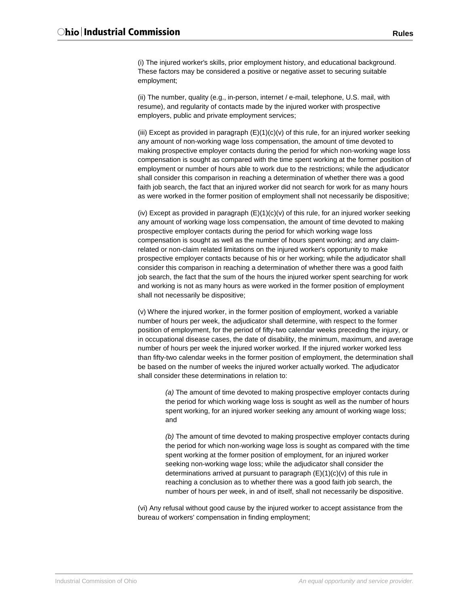(i) The injured worker's skills, prior employment history, and educational background. These factors may be considered a positive or negative asset to securing suitable employment;

(ii) The number, quality (e.g., in-person, internet / e-mail, telephone, U.S. mail, with resume), and regularity of contacts made by the injured worker with prospective employers, public and private employment services;

(iii) Except as provided in paragraph  $(E)(1)(c)(v)$  of this rule, for an injured worker seeking any amount of non-working wage loss compensation, the amount of time devoted to making prospective employer contacts during the period for which non-working wage loss compensation is sought as compared with the time spent working at the former position of employment or number of hours able to work due to the restrictions; while the adjudicator shall consider this comparison in reaching a determination of whether there was a good faith job search, the fact that an injured worker did not search for work for as many hours as were worked in the former position of employment shall not necessarily be dispositive;

(iv) Except as provided in paragraph  $(E)(1)(c)(v)$  of this rule, for an injured worker seeking any amount of working wage loss compensation, the amount of time devoted to making prospective employer contacts during the period for which working wage loss compensation is sought as well as the number of hours spent working; and any claimrelated or non-claim related limitations on the injured worker's opportunity to make prospective employer contacts because of his or her working; while the adjudicator shall consider this comparison in reaching a determination of whether there was a good faith job search, the fact that the sum of the hours the injured worker spent searching for work and working is not as many hours as were worked in the former position of employment shall not necessarily be dispositive;

(v) Where the injured worker, in the former position of employment, worked a variable number of hours per week, the adjudicator shall determine, with respect to the former position of employment, for the period of fifty-two calendar weeks preceding the injury, or in occupational disease cases, the date of disability, the minimum, maximum, and average number of hours per week the injured worker worked. If the injured worker worked less than fifty-two calendar weeks in the former position of employment, the determination shall be based on the number of weeks the injured worker actually worked. The adjudicator shall consider these determinations in relation to:

*(a)* The amount of time devoted to making prospective employer contacts during the period for which working wage loss is sought as well as the number of hours spent working, for an injured worker seeking any amount of working wage loss; and

*(b)* The amount of time devoted to making prospective employer contacts during the period for which non-working wage loss is sought as compared with the time spent working at the former position of employment, for an injured worker seeking non-working wage loss; while the adjudicator shall consider the determinations arrived at pursuant to paragraph (E)(1)(c)(v) of this rule in reaching a conclusion as to whether there was a good faith job search, the number of hours per week, in and of itself, shall not necessarily be dispositive.

(vi) Any refusal without good cause by the injured worker to accept assistance from the bureau of workers' compensation in finding employment;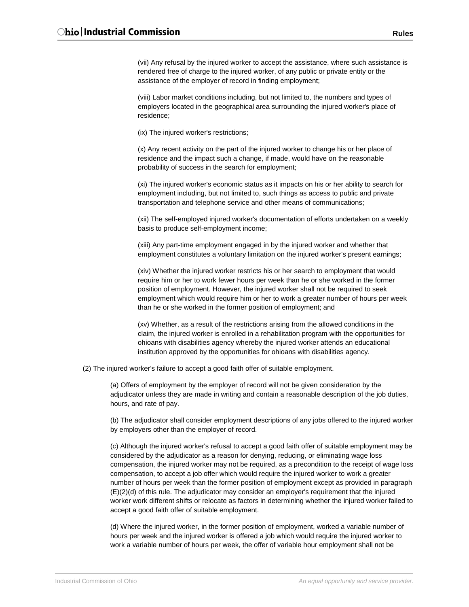(vii) Any refusal by the injured worker to accept the assistance, where such assistance is rendered free of charge to the injured worker, of any public or private entity or the assistance of the employer of record in finding employment;

(viii) Labor market conditions including, but not limited to, the numbers and types of employers located in the geographical area surrounding the injured worker's place of residence;

(ix) The injured worker's restrictions;

(x) Any recent activity on the part of the injured worker to change his or her place of residence and the impact such a change, if made, would have on the reasonable probability of success in the search for employment;

(xi) The injured worker's economic status as it impacts on his or her ability to search for employment including, but not limited to, such things as access to public and private transportation and telephone service and other means of communications;

(xii) The self-employed injured worker's documentation of efforts undertaken on a weekly basis to produce self-employment income;

(xiii) Any part-time employment engaged in by the injured worker and whether that employment constitutes a voluntary limitation on the injured worker's present earnings;

(xiv) Whether the injured worker restricts his or her search to employment that would require him or her to work fewer hours per week than he or she worked in the former position of employment. However, the injured worker shall not be required to seek employment which would require him or her to work a greater number of hours per week than he or she worked in the former position of employment; and

(xv) Whether, as a result of the restrictions arising from the allowed conditions in the claim, the injured worker is enrolled in a rehabilitation program with the opportunities for ohioans with disabilities agency whereby the injured worker attends an educational institution approved by the opportunities for ohioans with disabilities agency.

(2) The injured worker's failure to accept a good faith offer of suitable employment.

(a) Offers of employment by the employer of record will not be given consideration by the adjudicator unless they are made in writing and contain a reasonable description of the job duties, hours, and rate of pay.

(b) The adjudicator shall consider employment descriptions of any jobs offered to the injured worker by employers other than the employer of record.

(c) Although the injured worker's refusal to accept a good faith offer of suitable employment may be considered by the adjudicator as a reason for denying, reducing, or eliminating wage loss compensation, the injured worker may not be required, as a precondition to the receipt of wage loss compensation, to accept a job offer which would require the injured worker to work a greater number of hours per week than the former position of employment except as provided in paragraph (E)(2)(d) of this rule. The adjudicator may consider an employer's requirement that the injured worker work different shifts or relocate as factors in determining whether the injured worker failed to accept a good faith offer of suitable employment.

(d) Where the injured worker, in the former position of employment, worked a variable number of hours per week and the injured worker is offered a job which would require the injured worker to work a variable number of hours per week, the offer of variable hour employment shall not be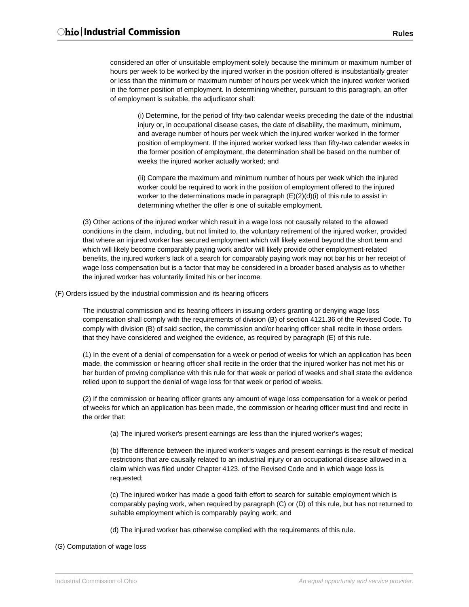considered an offer of unsuitable employment solely because the minimum or maximum number of hours per week to be worked by the injured worker in the position offered is insubstantially greater or less than the minimum or maximum number of hours per week which the injured worker worked in the former position of employment. In determining whether, pursuant to this paragraph, an offer of employment is suitable, the adjudicator shall:

(i) Determine, for the period of fifty-two calendar weeks preceding the date of the industrial injury or, in occupational disease cases, the date of disability, the maximum, minimum, and average number of hours per week which the injured worker worked in the former position of employment. If the injured worker worked less than fifty-two calendar weeks in the former position of employment, the determination shall be based on the number of weeks the injured worker actually worked; and

(ii) Compare the maximum and minimum number of hours per week which the injured worker could be required to work in the position of employment offered to the injured worker to the determinations made in paragraph  $(E)(2)(d)(i)$  of this rule to assist in determining whether the offer is one of suitable employment.

(3) Other actions of the injured worker which result in a wage loss not causally related to the allowed conditions in the claim, including, but not limited to, the voluntary retirement of the injured worker, provided that where an injured worker has secured employment which will likely extend beyond the short term and which will likely become comparably paying work and/or will likely provide other employment-related benefits, the injured worker's lack of a search for comparably paying work may not bar his or her receipt of wage loss compensation but is a factor that may be considered in a broader based analysis as to whether the injured worker has voluntarily limited his or her income.

(F) Orders issued by the industrial commission and its hearing officers

The industrial commission and its hearing officers in issuing orders granting or denying wage loss compensation shall comply with the requirements of division (B) of section 4121.36 of the Revised Code. To comply with division (B) of said section, the commission and/or hearing officer shall recite in those orders that they have considered and weighed the evidence, as required by paragraph (E) of this rule.

(1) In the event of a denial of compensation for a week or period of weeks for which an application has been made, the commission or hearing officer shall recite in the order that the injured worker has not met his or her burden of proving compliance with this rule for that week or period of weeks and shall state the evidence relied upon to support the denial of wage loss for that week or period of weeks.

(2) If the commission or hearing officer grants any amount of wage loss compensation for a week or period of weeks for which an application has been made, the commission or hearing officer must find and recite in the order that:

(a) The injured worker's present earnings are less than the injured worker's wages;

(b) The difference between the injured worker's wages and present earnings is the result of medical restrictions that are causally related to an industrial injury or an occupational disease allowed in a claim which was filed under Chapter 4123. of the Revised Code and in which wage loss is requested;

(c) The injured worker has made a good faith effort to search for suitable employment which is comparably paying work, when required by paragraph (C) or (D) of this rule, but has not returned to suitable employment which is comparably paying work; and

(d) The injured worker has otherwise complied with the requirements of this rule.

### (G) Computation of wage loss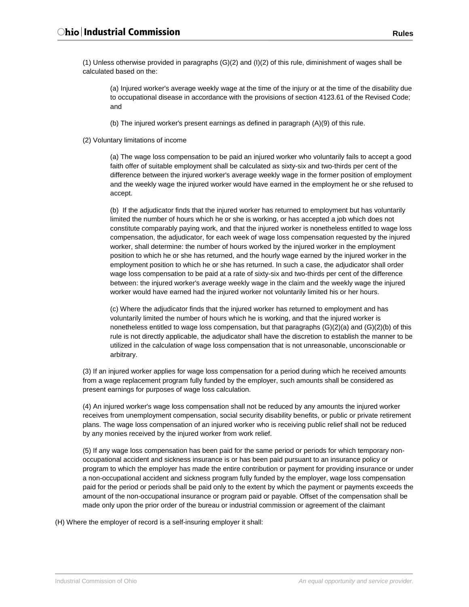(1) Unless otherwise provided in paragraphs (G)(2) and (I)(2) of this rule, diminishment of wages shall be calculated based on the:

(a) Injured worker's average weekly wage at the time of the injury or at the time of the disability due to occupational disease in accordance with the provisions of section 4123.61 of the Revised Code; and

(b) The injured worker's present earnings as defined in paragraph (A)(9) of this rule.

(2) Voluntary limitations of income

(a) The wage loss compensation to be paid an injured worker who voluntarily fails to accept a good faith offer of suitable employment shall be calculated as sixty-six and two-thirds per cent of the difference between the injured worker's average weekly wage in the former position of employment and the weekly wage the injured worker would have earned in the employment he or she refused to accept.

(b) If the adjudicator finds that the injured worker has returned to employment but has voluntarily limited the number of hours which he or she is working, or has accepted a job which does not constitute comparably paying work, and that the injured worker is nonetheless entitled to wage loss compensation, the adjudicator, for each week of wage loss compensation requested by the injured worker, shall determine: the number of hours worked by the injured worker in the employment position to which he or she has returned, and the hourly wage earned by the injured worker in the employment position to which he or she has returned. In such a case, the adjudicator shall order wage loss compensation to be paid at a rate of sixty-six and two-thirds per cent of the difference between: the injured worker's average weekly wage in the claim and the weekly wage the injured worker would have earned had the injured worker not voluntarily limited his or her hours.

(c) Where the adjudicator finds that the injured worker has returned to employment and has voluntarily limited the number of hours which he is working, and that the injured worker is nonetheless entitled to wage loss compensation, but that paragraphs (G)(2)(a) and (G)(2)(b) of this rule is not directly applicable, the adjudicator shall have the discretion to establish the manner to be utilized in the calculation of wage loss compensation that is not unreasonable, unconscionable or arbitrary.

(3) If an injured worker applies for wage loss compensation for a period during which he received amounts from a wage replacement program fully funded by the employer, such amounts shall be considered as present earnings for purposes of wage loss calculation.

(4) An injured worker's wage loss compensation shall not be reduced by any amounts the injured worker receives from unemployment compensation, social security disability benefits, or public or private retirement plans. The wage loss compensation of an injured worker who is receiving public relief shall not be reduced by any monies received by the injured worker from work relief.

(5) If any wage loss compensation has been paid for the same period or periods for which temporary nonoccupational accident and sickness insurance is or has been paid pursuant to an insurance policy or program to which the employer has made the entire contribution or payment for providing insurance or under a non-occupational accident and sickness program fully funded by the employer, wage loss compensation paid for the period or periods shall be paid only to the extent by which the payment or payments exceeds the amount of the non-occupational insurance or program paid or payable. Offset of the compensation shall be made only upon the prior order of the bureau or industrial commission or agreement of the claimant

(H) Where the employer of record is a self-insuring employer it shall: